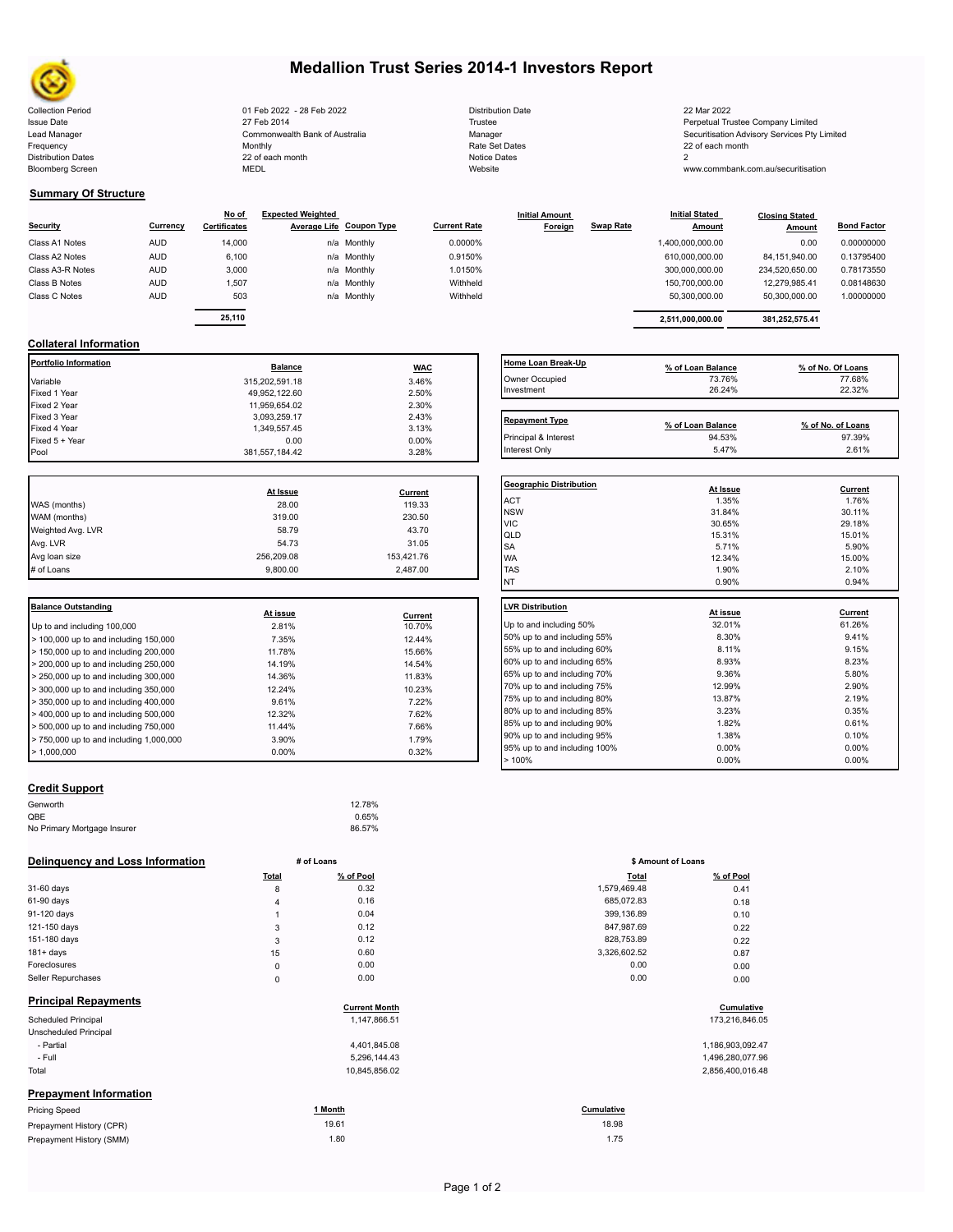

# **Medallion Trust Series 2014-1 Investors Report**

| <b>Collection Period</b>  | 01 Feb 2022 - 28 Feb 2022      | <b>Distribution Date</b> | 22 Mar 2022                                  |
|---------------------------|--------------------------------|--------------------------|----------------------------------------------|
| <b>Issue Date</b>         | 27 Feb 2014                    | Trustee                  | Perpetual Trustee Company Limited            |
| Lead Manager              | Commonwealth Bank of Australia | Manager                  | Securitisation Advisory Services Pty Limited |
| Frequency                 | Monthly                        | Rate Set Dates           | 22 of each month                             |
| <b>Distribution Dates</b> | 22 of each month               | Notice Dates             |                                              |
| <b>Bloomberg Screen</b>   | MEDL                           | Website                  | www.commbank.com.au/securitisation           |
|                           |                                |                          |                                              |

| <b>Distribution Date</b> |
|--------------------------|
| Trustee                  |
| Manager                  |
| Rate Set Dates           |
| Notice Dates             |
| Website                  |

Interest Only 2.61% 2.61% 2.61% 2.61% 2.61% 2.61% 2.61% 2.61% 2.61% 2.61% 2.61% 2.61% 2.61% 2.61% 2.61% 2.61% 2.61% 2.61% 2.61% 2.61% 2.61% 2.61% 2.61% 2.61% 2.61% 2.61% 2.61% 2.61% 2.61% 2.61% 2.61% 2.61% 2.61% 2.61% 2.61

## **Summary Of Structure**

|                  |            | No of               | <b>Expected Weighted</b> |                          |                     | <b>Initial Amount</b> |                  | <b>Initial Stated</b> | <b>Closing Stated</b> |                    |
|------------------|------------|---------------------|--------------------------|--------------------------|---------------------|-----------------------|------------------|-----------------------|-----------------------|--------------------|
| Security         | Currency   | <b>Certificates</b> |                          | Average Life Coupon Type | <b>Current Rate</b> | Foreign               | <b>Swap Rate</b> | <b>Amount</b>         | Amount                | <b>Bond Factor</b> |
| Class A1 Notes   | <b>AUD</b> | 14.000              |                          | n/a Monthly              | 0.0000%             |                       |                  | 1,400,000,000.00      | 0.00                  | 0.00000000         |
| Class A2 Notes   | <b>AUD</b> | 6,100               |                          | n/a Monthly              | 0.9150%             |                       |                  | 610,000,000.00        | 84.151.940.00         | 0.13795400         |
| Class A3-R Notes | <b>AUD</b> | 3,000               |                          | n/a Monthly              | 1.0150%             |                       |                  | 300,000,000.00        | 234.520.650.00        | 0.78173550         |
| Class B Notes    | <b>AUD</b> | 1.507               |                          | n/a Monthly              | Withheld            |                       |                  | 150.700.000.00        | 12.279.985.41         | 0.08148630         |
| Class C Notes    | <b>AUD</b> | 503                 |                          | n/a Monthly              | Withheld            |                       |                  | 50.300.000.00         | 50,300,000.00         | 1.00000000         |
|                  |            |                     |                          |                          |                     |                       |                  |                       |                       |                    |

|        | - - |             |            | Home Loan Break-Up | .                | . <i>.</i>     |            |
|--------|-----|-------------|------------|--------------------|------------------|----------------|------------|
| 25,110 |     |             |            |                    | 2,511,000,000.00 | 381,252,575.41 |            |
| 503    |     | n/a Monthly | Withheld   |                    | 50,300,000.00    | 50,300,000.00  | 1.00000000 |
| 1,507  |     | n/a Monthly | Withheld   |                    | 150,700,000.00   | 12.279.985.41  | 0.08148630 |
| 3.000  |     | n/a Monthly | 1.0150%    |                    | 300.000.000.00   | 234.520.650.00 | 0.78173550 |
| 6.100  |     | n/a Monthly | 0.9150%    |                    | 610.000.000.00   | 84,151,940.00  | 0.13795400 |
| 14.000 |     | n/a Monthly | $0.0000\%$ |                    | 1,400,000,000.00 | 0.00           | 0.00000000 |

## **Collateral Information**

| Portfolio Information | <b>Balance</b> | <b>WAC</b> | <b>Home Loan Break</b> |
|-----------------------|----------------|------------|------------------------|
| Variable              | 315,202,591.18 | 3.46%      | Owner Occupied         |
| Fixed 1 Year          | 49.952.122.60  | 2.50%      | Investment             |
| Fixed 2 Year          | 11.959.654.02  | 2.30%      |                        |
| Fixed 3 Year          | 3.093.259.17   | 2.43%      | <b>Repayment Type</b>  |
| Fixed 4 Year          | 1.349.557.45   | 3.13%      |                        |
| Fixed 5 + Year        | 0.00           | $0.00\%$   | Principal & Interest   |
| Pool                  | 381.557.184.42 | 3.28%      | Interest Only          |

|                   |            |            | Geo              |
|-------------------|------------|------------|------------------|
|                   | At Issue   | Current    |                  |
| WAS (months)      | 28.00      | 119.33     | AC <sup>-</sup>  |
| WAM (months)      | 319.00     | 230.50     | <b>NS</b><br>VIC |
| Weighted Avg. LVR | 58.79      | 43.70      | lqlı             |
| Avg. LVR          | 54.73      | 31.05      | <b>SA</b>        |
| Avg loan size     | 256,209.08 | 153,421.76 | <b>WA</b>        |
| # of Loans        | 9.800.00   | 2,487.00   | <b>TAS</b>       |
|                   |            |            |                  |

| <b>Balance Outstanding</b>              |          |         | <b>LVR Distribution</b> |
|-----------------------------------------|----------|---------|-------------------------|
|                                         | At issue | Current |                         |
| Up to and including 100,000             | 2.81%    | 10.70%  | Up to and including     |
| > 100,000 up to and including 150,000   | 7.35%    | 12.44%  | 50% up to and incl      |
| > 150,000 up to and including 200,000   | 11.78%   | 15.66%  | 55% up to and incl      |
| $> 200,000$ up to and including 250,000 | 14.19%   | 14.54%  | 60% up to and incl      |
| > 250,000 up to and including 300,000   | 14.36%   | 11.83%  | 65% up to and incl      |
| $>$ 300,000 up to and including 350,000 | 12.24%   | 10.23%  | 70% up to and incl      |
| $>$ 350,000 up to and including 400,000 | 9.61%    | 7.22%   | 75% up to and incl      |
| $>$ 400,000 up to and including 500,000 | 12.32%   | 7.62%   | 80% up to and incl      |
| $> 500,000$ up to and including 750,000 | 11.44%   | 7.66%   | 85% up to and incl      |
| > 750,000 up to and including 1,000,000 | 3.90%    | 1.79%   | 90% up to and incl      |
| > 1.000.000                             | $0.00\%$ | 0.32%   | 95% up to and incl      |
|                                         |          |         |                         |

| Home Loan Break-Up    | % of Loan Balance | % of No. Of Loans |
|-----------------------|-------------------|-------------------|
| Owner Occupied        | 73.76%            | 77.68%            |
| Investment            | 26.24%            | 22.32%            |
|                       |                   |                   |
| <b>Repayment Type</b> | % of Loan Balance | % of No. of Loans |
| Principal & Interest  | 94.53%            | 97.39%            |

| <b>Geographic Distribution</b>                    |
|---------------------------------------------------|
| At Issue<br>Current                               |
| <b>ACT</b><br>1.35%<br>1.76%                      |
| <b>NSW</b><br>31.84%<br>30.11%                    |
| <b>VIC</b><br>30.65%<br>29.18%                    |
| QLD<br>15.31%<br>15.01%                           |
| <b>SA</b><br>5.71%<br>5.90%                       |
| <b>WA</b><br>12.34%<br>15.00%                     |
| <b>TAS</b><br>1.90%<br>2.10%                      |
| <b>NT</b><br>0.90%<br>0.94%                       |
|                                                   |
| <b>LVR Distribution</b><br>At issue<br>Current    |
| 32.01%<br>Up to and including 50%<br>61.26%       |
| 8.30%<br>9.41%<br>50% up to and including 55%     |
| 8.11%<br>9.15%<br>55% up to and including 60%     |
| 60% up to and including 65%<br>8.93%<br>8.23%     |
| 65% up to and including 70%<br>9.36%<br>5.80%     |
| 70% up to and including 75%<br>2.90%<br>12.99%    |
| 75% up to and including 80%<br>13.87%<br>2.19%    |
| 80% up to and including 85%<br>3.23%<br>0.35%     |
| 1.82%<br>0.61%<br>85% up to and including 90%     |
| 90% up to and including 95%<br>1.38%<br>0.10%     |
| 0.00%<br>95% up to and including 100%<br>$0.00\%$ |
| >100%<br>0.00%<br>$0.00\%$                        |

## **Credit Support**

| Genworth                    | 12.78% |
|-----------------------------|--------|
| OBE                         | 0.65%  |
| No Primary Mortgage Insurer | 86.57% |

#### **Delinquency and Loss Information # of Loans**

|                               | Total       | % of Pool            | <b>Total</b> | % of Pool        |
|-------------------------------|-------------|----------------------|--------------|------------------|
| 31-60 days                    | 8           | 0.32                 | 1,579,469.48 | 0.41             |
| 61-90 days                    | 4           | 0.16                 | 685,072.83   | 0.18             |
| 91-120 days                   |             | 0.04                 | 399,136.89   | 0.10             |
| 121-150 days                  | 3           | 0.12                 | 847,987.69   | 0.22             |
| 151-180 days                  | 3           | 0.12                 | 828,753.89   | 0.22             |
| $181 + days$                  | 15          | 0.60                 | 3,326,602.52 | 0.87             |
| Foreclosures                  | $\mathsf 0$ | 0.00                 | 0.00         | 0.00             |
| Seller Repurchases            | $\mathsf 0$ | 0.00                 | 0.00         | 0.00             |
| <b>Principal Repayments</b>   |             | <b>Current Month</b> |              | Cumulative       |
| <b>Scheduled Principal</b>    |             | 1,147,866.51         |              | 173,216,846.05   |
| Unscheduled Principal         |             |                      |              |                  |
| - Partial                     |             | 4,401,845.08         |              | 1,186,903,092.47 |
| - Full                        |             | 5,296,144.43         |              | 1,496,280,077.96 |
| Total                         |             | 10,845,856.02        |              | 2,856,400,016.48 |
| <b>Prepayment Information</b> |             |                      |              |                  |
| <b>Pricing Speed</b>          |             | 1 Month              | Cumulative   |                  |
| Prepayment History (CPR)      |             | 19.61                | 18.98        |                  |
| Prepayment History (SMM)      |             | 1.80                 | 1.75         |                  |

| # of Loans |                      | \$ Amount of Loans |                |  |
|------------|----------------------|--------------------|----------------|--|
| Total      | % of Pool            | Total              | % of Pool      |  |
| 8          | 0.32                 | 1,579,469.48       | 0.41           |  |
| 4          | 0.16                 | 685,072.83         | 0.18           |  |
| 1          | 0.04                 | 399,136.89         | 0.10           |  |
| 3          | 0.12                 | 847.987.69         | 0.22           |  |
| 3          | 0.12                 | 828,753.89         | 0.22           |  |
| 15         | 0.60                 | 3,326,602.52       | 0.87           |  |
| 0          | 0.00                 | 0.00               | 0.00           |  |
| 0          | 0.00                 | 0.00               | 0.00           |  |
|            | <b>Current Month</b> |                    | Cumulative     |  |
|            | 1,147,866.51         |                    | 173,216,846.05 |  |

| 1,186,903,092.4       |
|-----------------------|
| 1,496,280,077.9       |
| $2.956$ $100.016$ $1$ |